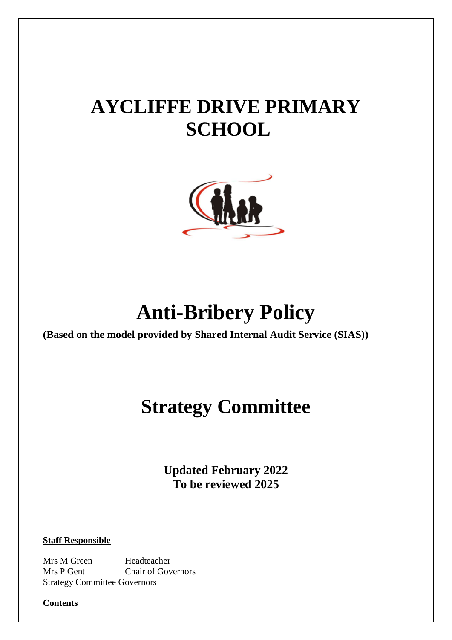# **AYCLIFFE DRIVE PRIMARY SCHOOL**



# **Anti-Bribery Policy**

**(Based on the model provided by Shared Internal Audit Service (SIAS))**

## **Strategy Committee**

**Updated February 2022 To be reviewed 2025**

**Staff Responsible**

Mrs M Green Headteacher Mrs P Gent Chair of Governors Strategy Committee Governors

**Contents**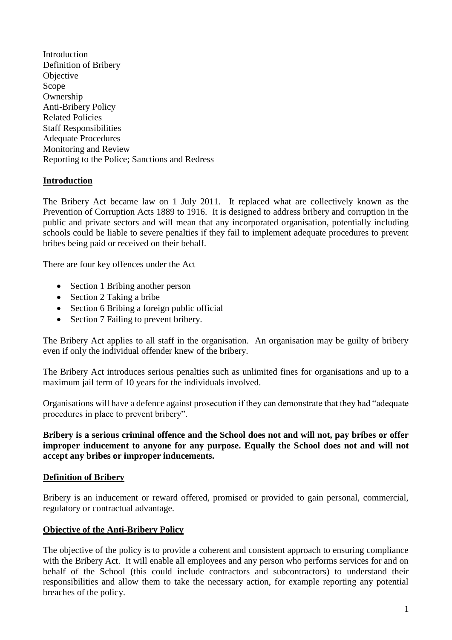Introduction Definition of Bribery **Objective** Scope Ownership Anti-Bribery Policy Related Policies Staff Responsibilities Adequate Procedures Monitoring and Review Reporting to the Police; Sanctions and Redress

#### **Introduction**

The Bribery Act became law on 1 July 2011. It replaced what are collectively known as the Prevention of Corruption Acts 1889 to 1916. It is designed to address bribery and corruption in the public and private sectors and will mean that any incorporated organisation, potentially including schools could be liable to severe penalties if they fail to implement adequate procedures to prevent bribes being paid or received on their behalf.

There are four key offences under the Act

- Section 1 Bribing another person
- Section 2 Taking a bribe
- Section 6 Bribing a foreign public official
- Section 7 Failing to prevent bribery.

The Bribery Act applies to all staff in the organisation. An organisation may be guilty of bribery even if only the individual offender knew of the bribery.

The Bribery Act introduces serious penalties such as unlimited fines for organisations and up to a maximum jail term of 10 years for the individuals involved.

Organisations will have a defence against prosecution if they can demonstrate that they had "adequate procedures in place to prevent bribery".

**Bribery is a serious criminal offence and the School does not and will not, pay bribes or offer improper inducement to anyone for any purpose. Equally the School does not and will not accept any bribes or improper inducements.**

#### **Definition of Bribery**

Bribery is an inducement or reward offered, promised or provided to gain personal, commercial, regulatory or contractual advantage.

#### **Objective of the Anti-Bribery Policy**

The objective of the policy is to provide a coherent and consistent approach to ensuring compliance with the Bribery Act. It will enable all employees and any person who performs services for and on behalf of the School (this could include contractors and subcontractors) to understand their responsibilities and allow them to take the necessary action, for example reporting any potential breaches of the policy.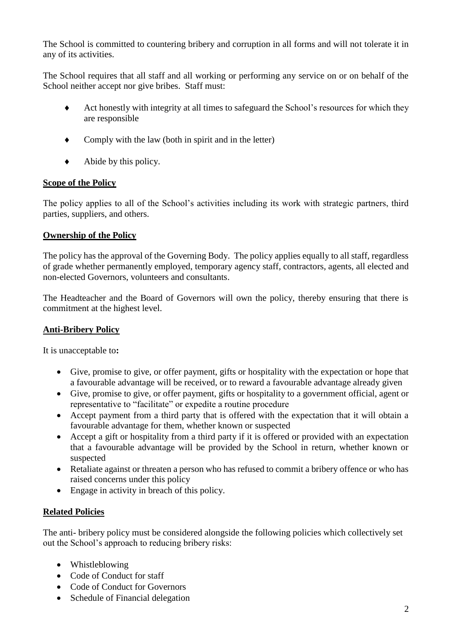The School is committed to countering bribery and corruption in all forms and will not tolerate it in any of its activities.

The School requires that all staff and all working or performing any service on or on behalf of the School neither accept nor give bribes. Staff must:

- Act honestly with integrity at all times to safeguard the School's resources for which they are responsible
- Comply with the law (both in spirit and in the letter)
- $\blacklozenge$  Abide by this policy.

### **Scope of the Policy**

The policy applies to all of the School's activities including its work with strategic partners, third parties, suppliers, and others.

### **Ownership of the Policy**

The policy has the approval of the Governing Body. The policy applies equally to all staff, regardless of grade whether permanently employed, temporary agency staff, contractors, agents, all elected and non-elected Governors, volunteers and consultants.

The Headteacher and the Board of Governors will own the policy, thereby ensuring that there is commitment at the highest level.

## **Anti-Bribery Policy**

It is unacceptable to**:**

- Give, promise to give, or offer payment, gifts or hospitality with the expectation or hope that a favourable advantage will be received, or to reward a favourable advantage already given
- Give, promise to give, or offer payment, gifts or hospitality to a government official, agent or representative to "facilitate" or expedite a routine procedure
- Accept payment from a third party that is offered with the expectation that it will obtain a favourable advantage for them, whether known or suspected
- Accept a gift or hospitality from a third party if it is offered or provided with an expectation that a favourable advantage will be provided by the School in return, whether known or suspected
- Retaliate against or threaten a person who has refused to commit a bribery offence or who has raised concerns under this policy
- Engage in activity in breach of this policy.

#### **Related Policies**

The anti- bribery policy must be considered alongside the following policies which collectively set out the School's approach to reducing bribery risks:

- Whistleblowing
- Code of Conduct for staff
- Code of Conduct for Governors
- Schedule of Financial delegation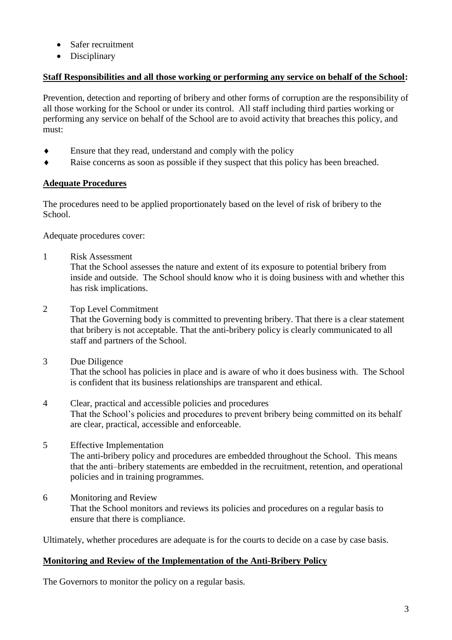- Safer recruitment
- Disciplinary

### **Staff Responsibilities and all those working or performing any service on behalf of the School:**

Prevention, detection and reporting of bribery and other forms of corruption are the responsibility of all those working for the School or under its control. All staff including third parties working or performing any service on behalf of the School are to avoid activity that breaches this policy, and must:

- Ensure that they read, understand and comply with the policy
- Raise concerns as soon as possible if they suspect that this policy has been breached.

## **Adequate Procedures**

The procedures need to be applied proportionately based on the level of risk of bribery to the School.

Adequate procedures cover:

1 Risk Assessment

That the School assesses the nature and extent of its exposure to potential bribery from inside and outside. The School should know who it is doing business with and whether this has risk implications.

2 Top Level Commitment

That the Governing body is committed to preventing bribery. That there is a clear statement that bribery is not acceptable. That the anti-bribery policy is clearly communicated to all staff and partners of the School.

- 3 Due Diligence That the school has policies in place and is aware of who it does business with. The School is confident that its business relationships are transparent and ethical.
- 4 Clear, practical and accessible policies and procedures That the School's policies and procedures to prevent bribery being committed on its behalf are clear, practical, accessible and enforceable.
- 5 Effective Implementation The anti-bribery policy and procedures are embedded throughout the School. This means that the anti–bribery statements are embedded in the recruitment, retention, and operational policies and in training programmes.
- 6 Monitoring and Review That the School monitors and reviews its policies and procedures on a regular basis to ensure that there is compliance.

Ultimately, whether procedures are adequate is for the courts to decide on a case by case basis.

#### **Monitoring and Review of the Implementation of the Anti-Bribery Policy**

The Governors to monitor the policy on a regular basis.